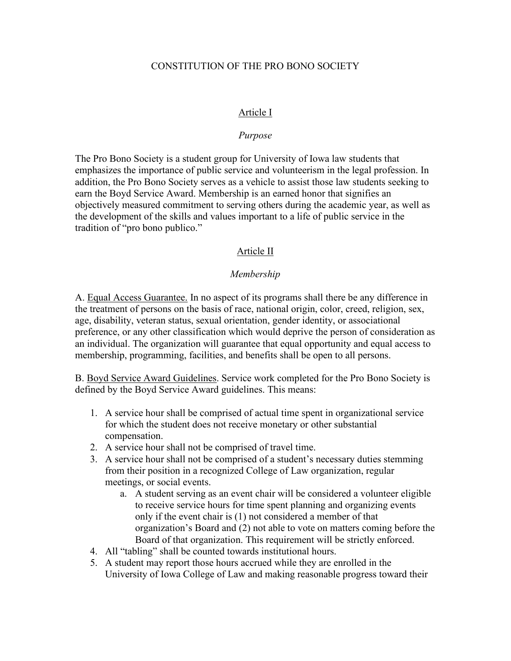### CONSTITUTION OF THE PRO BONO SOCIETY

#### Article I

#### *Purpose*

The Pro Bono Society is a student group for University of Iowa law students that emphasizes the importance of public service and volunteerism in the legal profession. In addition, the Pro Bono Society serves as a vehicle to assist those law students seeking to earn the Boyd Service Award. Membership is an earned honor that signifies an objectively measured commitment to serving others during the academic year, as well as the development of the skills and values important to a life of public service in the tradition of "pro bono publico."

### Article II

#### *Membership*

A. Equal Access Guarantee. In no aspect of its programs shall there be any difference in the treatment of persons on the basis of race, national origin, color, creed, religion, sex, age, disability, veteran status, sexual orientation, gender identity, or associational preference, or any other classification which would deprive the person of consideration as an individual. The organization will guarantee that equal opportunity and equal access to membership, programming, facilities, and benefits shall be open to all persons.

B. Boyd Service Award Guidelines. Service work completed for the Pro Bono Society is defined by the Boyd Service Award guidelines. This means:

- 1. A service hour shall be comprised of actual time spent in organizational service for which the student does not receive monetary or other substantial compensation.
- 2. A service hour shall not be comprised of travel time.
- 3. A service hour shall not be comprised of a student's necessary duties stemming from their position in a recognized College of Law organization, regular meetings, or social events.
	- a. A student serving as an event chair will be considered a volunteer eligible to receive service hours for time spent planning and organizing events only if the event chair is (1) not considered a member of that organization's Board and (2) not able to vote on matters coming before the Board of that organization. This requirement will be strictly enforced.
- 4. All "tabling" shall be counted towards institutional hours.
- 5. A student may report those hours accrued while they are enrolled in the University of Iowa College of Law and making reasonable progress toward their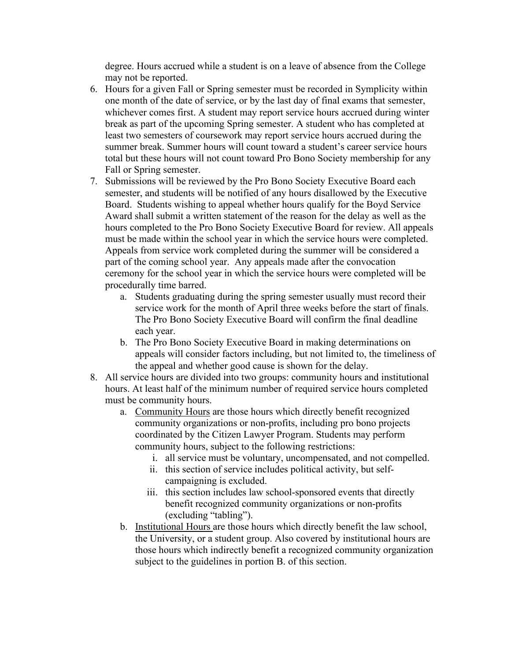degree. Hours accrued while a student is on a leave of absence from the College may not be reported.

- 6. Hours for a given Fall or Spring semester must be recorded in Symplicity within one month of the date of service, or by the last day of final exams that semester, whichever comes first. A student may report service hours accrued during winter break as part of the upcoming Spring semester. A student who has completed at least two semesters of coursework may report service hours accrued during the summer break. Summer hours will count toward a student's career service hours total but these hours will not count toward Pro Bono Society membership for any Fall or Spring semester.
- 7. Submissions will be reviewed by the Pro Bono Society Executive Board each semester, and students will be notified of any hours disallowed by the Executive Board. Students wishing to appeal whether hours qualify for the Boyd Service Award shall submit a written statement of the reason for the delay as well as the hours completed to the Pro Bono Society Executive Board for review. All appeals must be made within the school year in which the service hours were completed. Appeals from service work completed during the summer will be considered a part of the coming school year. Any appeals made after the convocation ceremony for the school year in which the service hours were completed will be procedurally time barred.
	- a. Students graduating during the spring semester usually must record their service work for the month of April three weeks before the start of finals. The Pro Bono Society Executive Board will confirm the final deadline each year.
	- b. The Pro Bono Society Executive Board in making determinations on appeals will consider factors including, but not limited to, the timeliness of the appeal and whether good cause is shown for the delay.
- 8. All service hours are divided into two groups: community hours and institutional hours. At least half of the minimum number of required service hours completed must be community hours.
	- a. Community Hours are those hours which directly benefit recognized community organizations or non-profits, including pro bono projects coordinated by the Citizen Lawyer Program. Students may perform community hours, subject to the following restrictions:
		- i. all service must be voluntary, uncompensated, and not compelled.
		- ii. this section of service includes political activity, but selfcampaigning is excluded.
		- iii. this section includes law school-sponsored events that directly benefit recognized community organizations or non-profits (excluding "tabling").
	- b. Institutional Hours are those hours which directly benefit the law school, the University, or a student group. Also covered by institutional hours are those hours which indirectly benefit a recognized community organization subject to the guidelines in portion B. of this section.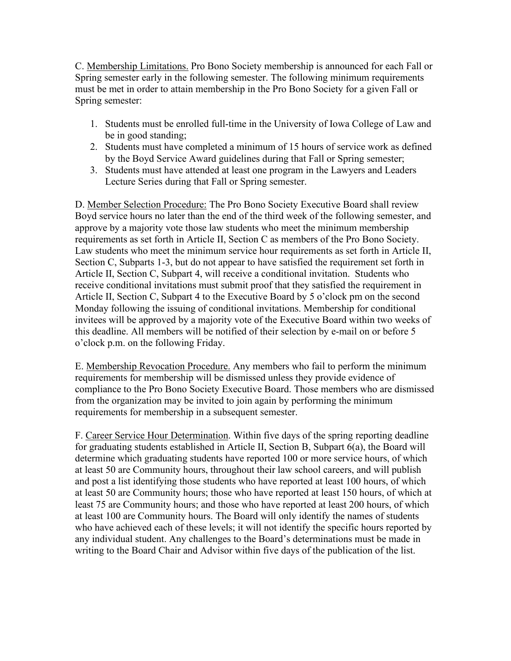C. Membership Limitations. Pro Bono Society membership is announced for each Fall or Spring semester early in the following semester. The following minimum requirements must be met in order to attain membership in the Pro Bono Society for a given Fall or Spring semester:

- 1. Students must be enrolled full-time in the University of Iowa College of Law and be in good standing;
- 2. Students must have completed a minimum of 15 hours of service work as defined by the Boyd Service Award guidelines during that Fall or Spring semester;
- 3. Students must have attended at least one program in the Lawyers and Leaders Lecture Series during that Fall or Spring semester.

D. Member Selection Procedure: The Pro Bono Society Executive Board shall review Boyd service hours no later than the end of the third week of the following semester, and approve by a majority vote those law students who meet the minimum membership requirements as set forth in Article II, Section C as members of the Pro Bono Society. Law students who meet the minimum service hour requirements as set forth in Article II, Section C, Subparts 1-3, but do not appear to have satisfied the requirement set forth in Article II, Section C, Subpart 4, will receive a conditional invitation. Students who receive conditional invitations must submit proof that they satisfied the requirement in Article II, Section C, Subpart 4 to the Executive Board by 5 o'clock pm on the second Monday following the issuing of conditional invitations. Membership for conditional invitees will be approved by a majority vote of the Executive Board within two weeks of this deadline. All members will be notified of their selection by e-mail on or before 5 o'clock p.m. on the following Friday.

E. Membership Revocation Procedure. Any members who fail to perform the minimum requirements for membership will be dismissed unless they provide evidence of compliance to the Pro Bono Society Executive Board. Those members who are dismissed from the organization may be invited to join again by performing the minimum requirements for membership in a subsequent semester.

F. Career Service Hour Determination. Within five days of the spring reporting deadline for graduating students established in Article II, Section B, Subpart 6(a), the Board will determine which graduating students have reported 100 or more service hours, of which at least 50 are Community hours, throughout their law school careers, and will publish and post a list identifying those students who have reported at least 100 hours, of which at least 50 are Community hours; those who have reported at least 150 hours, of which at least 75 are Community hours; and those who have reported at least 200 hours, of which at least 100 are Community hours. The Board will only identify the names of students who have achieved each of these levels; it will not identify the specific hours reported by any individual student. Any challenges to the Board's determinations must be made in writing to the Board Chair and Advisor within five days of the publication of the list.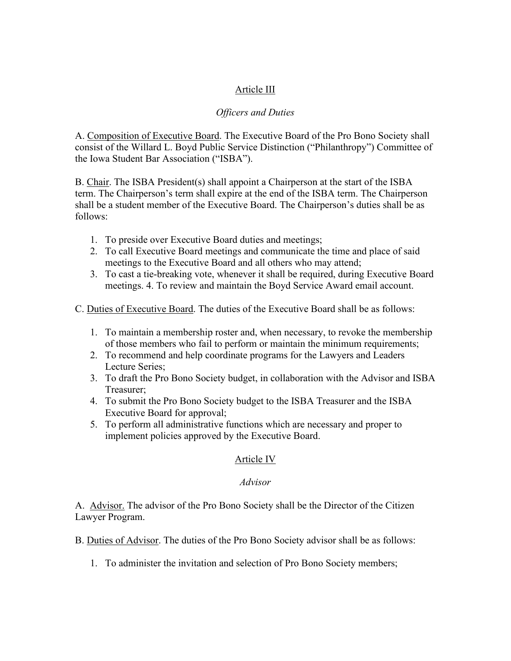# Article III

## *Officers and Duties*

A. Composition of Executive Board. The Executive Board of the Pro Bono Society shall consist of the Willard L. Boyd Public Service Distinction ("Philanthropy") Committee of the Iowa Student Bar Association ("ISBA").

B. Chair. The ISBA President(s) shall appoint a Chairperson at the start of the ISBA term. The Chairperson's term shall expire at the end of the ISBA term. The Chairperson shall be a student member of the Executive Board. The Chairperson's duties shall be as follows:

- 1. To preside over Executive Board duties and meetings;
- 2. To call Executive Board meetings and communicate the time and place of said meetings to the Executive Board and all others who may attend;
- 3. To cast a tie-breaking vote, whenever it shall be required, during Executive Board meetings. 4. To review and maintain the Boyd Service Award email account.

C. Duties of Executive Board. The duties of the Executive Board shall be as follows:

- 1. To maintain a membership roster and, when necessary, to revoke the membership of those members who fail to perform or maintain the minimum requirements;
- 2. To recommend and help coordinate programs for the Lawyers and Leaders Lecture Series;
- 3. To draft the Pro Bono Society budget, in collaboration with the Advisor and ISBA Treasurer;
- 4. To submit the Pro Bono Society budget to the ISBA Treasurer and the ISBA Executive Board for approval;
- 5. To perform all administrative functions which are necessary and proper to implement policies approved by the Executive Board.

## Article IV

## *Advisor*

A. Advisor. The advisor of the Pro Bono Society shall be the Director of the Citizen Lawyer Program.

B. Duties of Advisor. The duties of the Pro Bono Society advisor shall be as follows:

1. To administer the invitation and selection of Pro Bono Society members;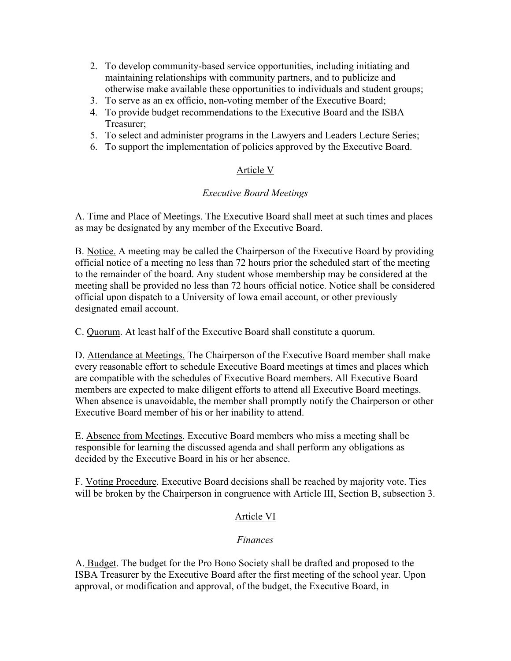- 2. To develop community-based service opportunities, including initiating and maintaining relationships with community partners, and to publicize and otherwise make available these opportunities to individuals and student groups;
- 3. To serve as an ex officio, non-voting member of the Executive Board;
- 4. To provide budget recommendations to the Executive Board and the ISBA Treasurer;
- 5. To select and administer programs in the Lawyers and Leaders Lecture Series;
- 6. To support the implementation of policies approved by the Executive Board.

# Article V

# *Executive Board Meetings*

A. Time and Place of Meetings. The Executive Board shall meet at such times and places as may be designated by any member of the Executive Board.

B. Notice. A meeting may be called the Chairperson of the Executive Board by providing official notice of a meeting no less than 72 hours prior the scheduled start of the meeting to the remainder of the board. Any student whose membership may be considered at the meeting shall be provided no less than 72 hours official notice. Notice shall be considered official upon dispatch to a University of Iowa email account, or other previously designated email account.

C. Quorum. At least half of the Executive Board shall constitute a quorum.

D. Attendance at Meetings. The Chairperson of the Executive Board member shall make every reasonable effort to schedule Executive Board meetings at times and places which are compatible with the schedules of Executive Board members. All Executive Board members are expected to make diligent efforts to attend all Executive Board meetings. When absence is unavoidable, the member shall promptly notify the Chairperson or other Executive Board member of his or her inability to attend.

E. Absence from Meetings. Executive Board members who miss a meeting shall be responsible for learning the discussed agenda and shall perform any obligations as decided by the Executive Board in his or her absence.

F. Voting Procedure. Executive Board decisions shall be reached by majority vote. Ties will be broken by the Chairperson in congruence with Article III, Section B, subsection 3.

# Article VI

## *Finances*

A. Budget. The budget for the Pro Bono Society shall be drafted and proposed to the ISBA Treasurer by the Executive Board after the first meeting of the school year. Upon approval, or modification and approval, of the budget, the Executive Board, in